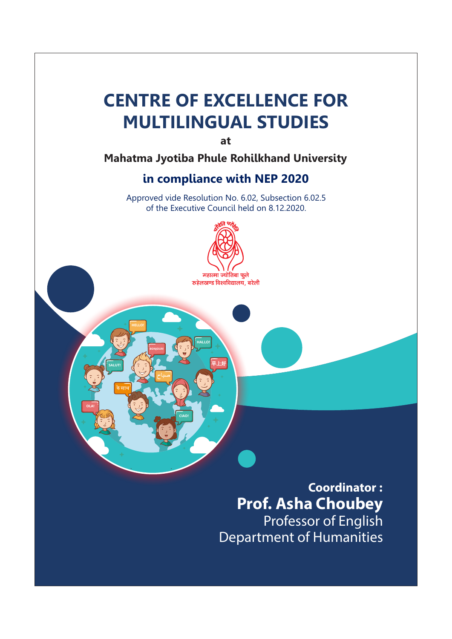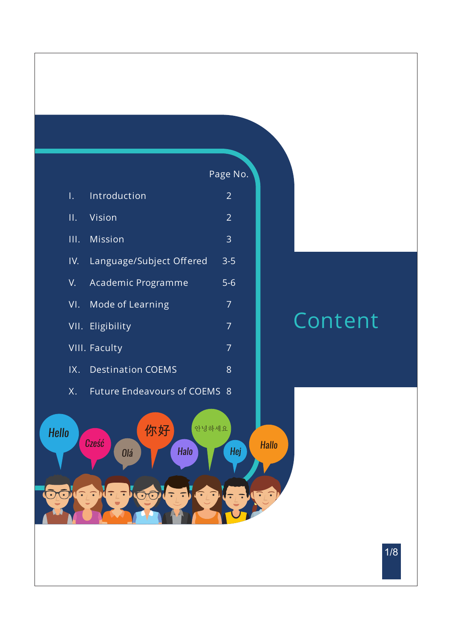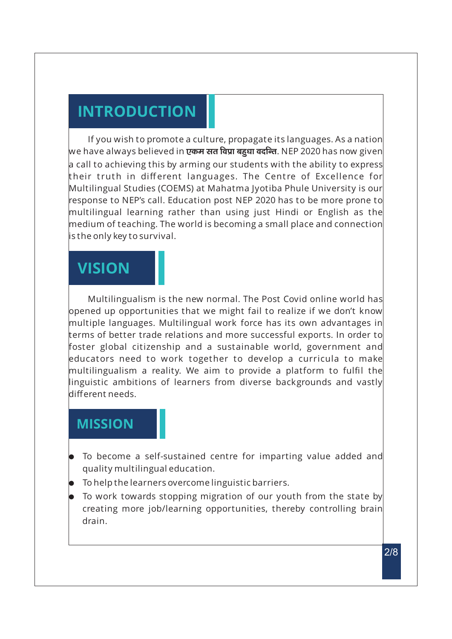# **INTRODUCTION**

If you wish to promote a culture, propagate its languages. As a nation we have always believed in **एकम सत विप्रा बहुधा वदन्ति**. NEP 2020 has now given a call to achieving this by arming our students with the ability to express their truth in different languages. The Centre of Excellence for Multilingual Studies (COEMS) at Mahatma Jyotiba Phule University is our response to NEP's call. Education post NEP 2020 has to be more prone to multilingual learning rather than using just Hindi or English as the medium of teaching. The world is becoming a small place and connection is the only key to survival.

## **VISION**

Multilingualism is the new normal. The Post Covid online world has opened up opportunities that we might fail to realize if we don't know multiple languages. Multilingual work force has its own advantages in terms of better trade relations and more successful exports. In order to foster global citizenship and a sustainable world, government and educators need to work together to develop a curricula to make multilingualism a reality. We aim to provide a platform to fulfil the linguistic ambitions of learners from diverse backgrounds and vastly different needs.

## **MISSION**

- To become a self-sustained centre for imparting value added and quality multilingual education.
- l To help the learners overcome linguistic barriers.
- To work towards stopping migration of our youth from the state by creating more job/learning opportunities, thereby controlling brain drain.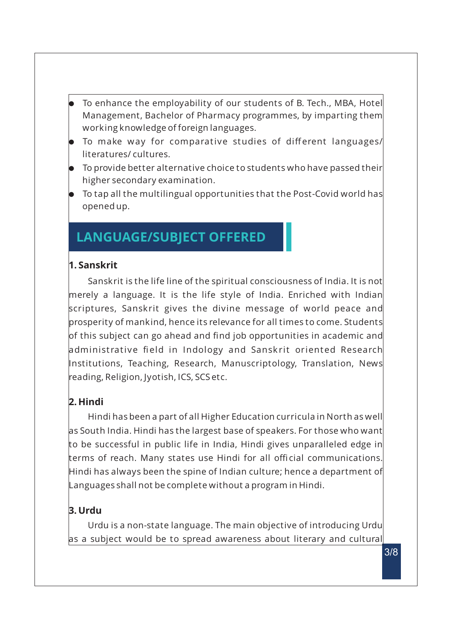- To enhance the employability of our students of B. Tech., MBA, Hotel Management, Bachelor of Pharmacy programmes, by imparting them working knowledge of foreign languages.
- **To make way for comparative studies of different languages/** literatures/ cultures.
- To provide better alternative choice to students who have passed their higher secondary examination.
- To tap all the multilingual opportunities that the Post-Covid world has opened up.

## **LANGUAGE/SUBJECT OFFERED**

### **1. Sanskrit**

Sanskrit is the life line of the spiritual consciousness of India. It is not merely a language. It is the life style of India. Enriched with Indian scriptures, Sanskrit gives the divine message of world peace and prosperity of mankind, hence its relevance for all times to come. Students of this subject can go ahead and find job opportunities in academic and administrative field in Indology and Sanskrit oriented Research Institutions, Teaching, Research, Manuscriptology, Translation, News reading, Religion, Jyotish, ICS, SCS etc.

### **2. Hindi**

Hindi has been a part of all Higher Education curricula in North as well as South India. Hindi has the largest base of speakers. For those who want to be successful in public life in India, Hindi gives unparalleled edge in terms of reach. Many states use Hindi for all official communications. Hindi has always been the spine of Indian culture; hence a department of Languages shall not be complete without a program in Hindi.

### **3. Urdu**

Urdu is a non-state language. The main objective of introducing Urdu as a subject would be to spread awareness about literary and cultural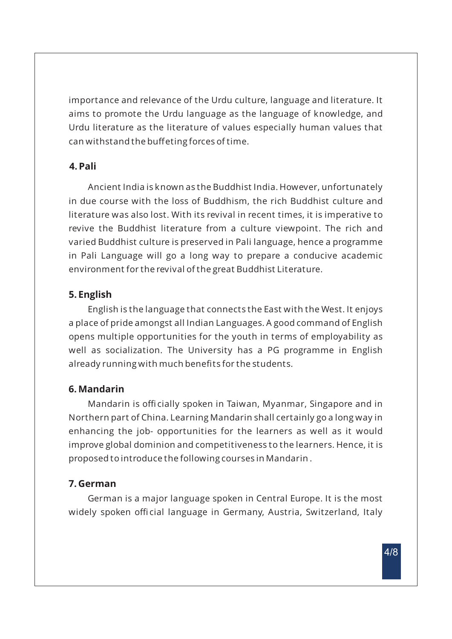importance and relevance of the Urdu culture, language and literature. It aims to promote the Urdu language as the language of knowledge, and Urdu literature as the literature of values especially human values that can withstand the buffeting forces of time.

#### **4. Pali**

Ancient India is known as the Buddhist India. However, unfortunately in due course with the loss of Buddhism, the rich Buddhist culture and literature was also lost. With its revival in recent times, it is imperative to revive the Buddhist literature from a culture viewpoint. The rich and varied Buddhist culture is preserved in Pali language, hence a programme in Pali Language will go a long way to prepare a conducive academic environment for the revival of the great Buddhist Literature.

#### **5. English**

English is the language that connects the East with the West. It enjoys a place of pride amongst all Indian Languages. A good command of English opens multiple opportunities for the youth in terms of employability as well as socialization. The University has a PG programme in English already running with much benefits for the students.

#### **6. Mandarin**

Mandarin is officially spoken in Taiwan, Myanmar, Singapore and in Northern part of China. Learning Mandarin shall certainly go a long way in enhancing the job- opportunities for the learners as well as it would improve global dominion and competitiveness to the learners. Hence, it is proposed to introduce the following courses in Mandarin .

#### **7. German**

German is a major language spoken in Central Europe. It is the most widely spoken official language in Germany, Austria, Switzerland, Italy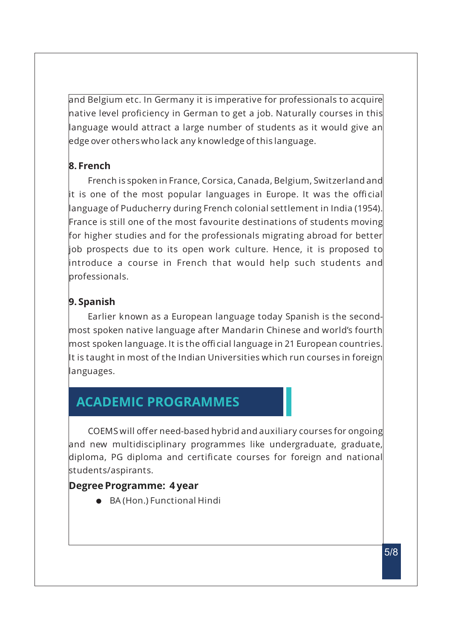and Belgium etc. In Germany it is imperative for professionals to acquire native level proficiency in German to get a job. Naturally courses in this language would attract a large number of students as it would give an edge over others who lack any knowledge of this language.

#### **8. French**

French is spoken in France, Corsica, Canada, Belgium, Switzerland and it is one of the most popular languages in Europe. It was the official language of Puducherry during French colonial settlement in India (1954). France is still one of the most favourite destinations of students moving for higher studies and for the professionals migrating abroad for better job prospects due to its open work culture. Hence, it is proposed to introduce a course in French that would help such students and professionals.

### **9. Spanish**

Earlier known as a European language today Spanish is the secondmost spoken native language after Mandarin Chinese and world's fourth most spoken language. It is the official language in 21 European countries. It is taught in most of the Indian Universities which run courses in foreign languages.

## **ACADEMIC PROGRAMMES**

COEMS will offer need-based hybrid and auxiliary courses for ongoing and new multidisciplinary programmes like undergraduate, graduate, diploma, PG diploma and certificate courses for foreign and national students/aspirants.

### **Degree Programme: 4 year**

● BA (Hon.) Functional Hindi

5/8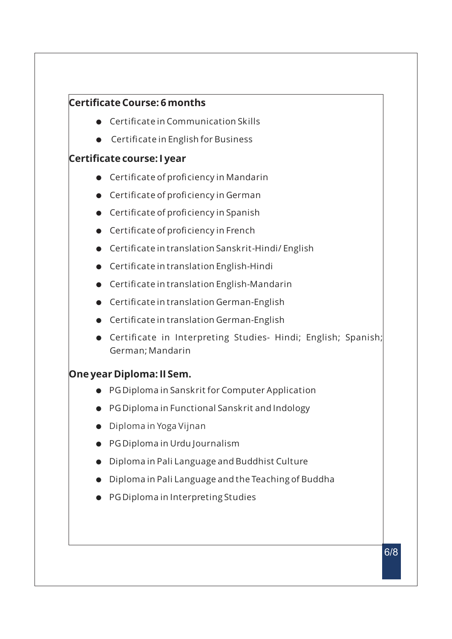### **Certificate Course: 6 months**

- $\bullet$  Certificate in Communication Skills
- **•** Certificate in English for Business

#### **Certificate course: I year**

- **•** Certificate of proficiency in Mandarin
- $\bullet$  Certificate of proficiency in German
- $\bullet$  Certificate of proficiency in Spanish
- **•** Certificate of proficiency in French
- **•** Certificate in translation Sanskrit-Hindi/ English
- **•** Certificate in translation English-Hindi
- **•** Certificate in translation English-Mandarin
- **•** Certificate in translation German-English
- **•** Certificate in translation German-English
- **•** Certificate in Interpreting Studies- Hindi; English; Spanish; German; Mandarin

### **One year Diploma: II Sem.**

- PG Diploma in Sanskrit for Computer Application
- **•** PG Diploma in Functional Sanskrit and Indology
- $\bullet$  Diploma in Yoga Vijnan
- PG Diploma in Urdu Journalism
- **.** Diploma in Pali Language and Buddhist Culture
- $\bullet$  Diploma in Pali Language and the Teaching of Buddha
- PG Diploma in Interpreting Studies

6/8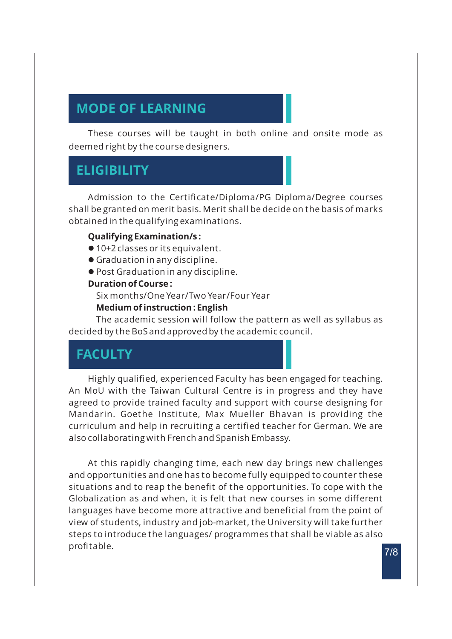# **MODE OF LEARNING**

These courses will be taught in both online and onsite mode as deemed right by the course designers.

## **ELIGIBILITY**

Admission to the Certificate/Diploma/PG Diploma/Degree courses shall be granted on merit basis. Merit shall be decide on the basis of marks obtained in the qualifying examinations.

#### **Qualifying Examination/s :**

- 10+2 classes or its equivalent.
- l Graduation in any discipline.
- **Post Graduation in any discipline.**

#### **Duration of Course :**

Six months/One Year/Two Year/Four Year

#### **Medium of instruction : English**

The academic session will follow the pattern as well as syllabus as decided by the BoS and approved by the academic council.

## **FACULTY**

Highly qualified, experienced Faculty has been engaged for teaching. An MoU with the Taiwan Cultural Centre is in progress and they have agreed to provide trained faculty and support with course designing for Mandarin. Goethe Institute, Max Mueller Bhavan is providing the curriculum and help in recruiting a certified teacher for German. We are also collaborating with French and Spanish Embassy.

At this rapidly changing time, each new day brings new challenges and opportunities and one has to become fully equipped to counter these situations and to reap the benefit of the opportunities. To cope with the Globalization as and when, it is felt that new courses in some different languages have become more attractive and beneficial from the point of view of students, industry and job-market, the University will take further steps to introduce the languages/ programmes that shall be viable as also profitable.